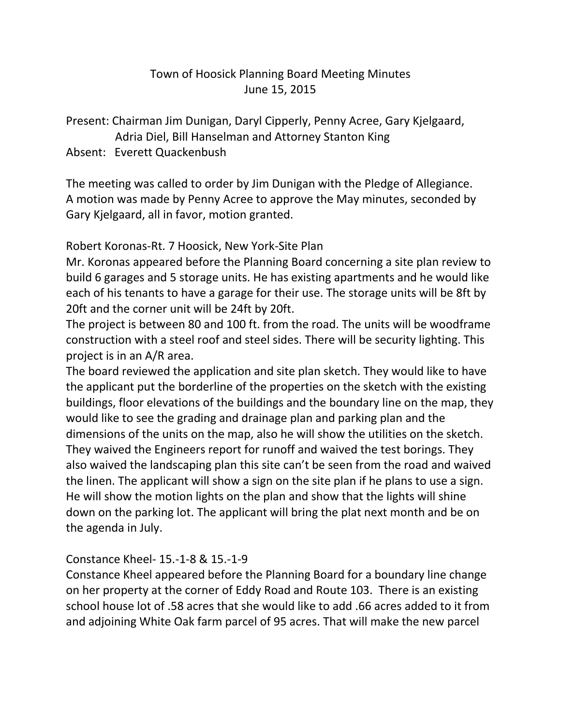## Town of Hoosick Planning Board Meeting Minutes June 15, 2015

Present: Chairman Jim Dunigan, Daryl Cipperly, Penny Acree, Gary Kjelgaard, Adria Diel, Bill Hanselman and Attorney Stanton King

## Absent: Everett Quackenbush

The meeting was called to order by Jim Dunigan with the Pledge of Allegiance. A motion was made by Penny Acree to approve the May minutes, seconded by Gary Kjelgaard, all in favor, motion granted.

Robert Koronas-Rt. 7 Hoosick, New York-Site Plan

Mr. Koronas appeared before the Planning Board concerning a site plan review to build 6 garages and 5 storage units. He has existing apartments and he would like each of his tenants to have a garage for their use. The storage units will be 8ft by 20ft and the corner unit will be 24ft by 20ft.

The project is between 80 and 100 ft. from the road. The units will be woodframe construction with a steel roof and steel sides. There will be security lighting. This project is in an A/R area.

The board reviewed the application and site plan sketch. They would like to have the applicant put the borderline of the properties on the sketch with the existing buildings, floor elevations of the buildings and the boundary line on the map, they would like to see the grading and drainage plan and parking plan and the dimensions of the units on the map, also he will show the utilities on the sketch. They waived the Engineers report for runoff and waived the test borings. They also waived the landscaping plan this site can't be seen from the road and waived the linen. The applicant will show a sign on the site plan if he plans to use a sign. He will show the motion lights on the plan and show that the lights will shine down on the parking lot. The applicant will bring the plat next month and be on the agenda in July.

## Constance Kheel- 15.-1-8 & 15.-1-9

Constance Kheel appeared before the Planning Board for a boundary line change on her property at the corner of Eddy Road and Route 103. There is an existing school house lot of .58 acres that she would like to add .66 acres added to it from and adjoining White Oak farm parcel of 95 acres. That will make the new parcel